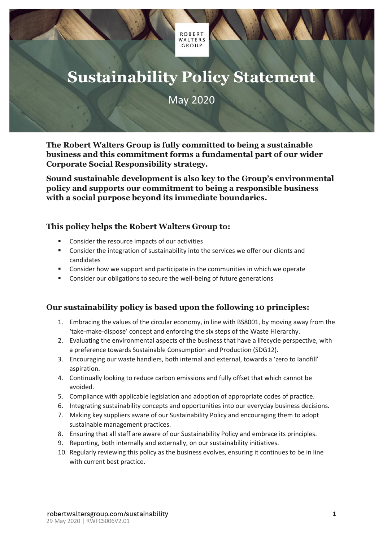# **Sustainability Policy Statement**

**ROBERT** WALTERS **GROUP** 

## May 2020

**The Robert Walters Group is fully committed to being a sustainable business and this commitment forms a fundamental part of our wider Corporate Social Responsibility strategy.**

**Sound sustainable development is also key to the Group's environmental policy and supports our commitment to being a responsible business with a social purpose beyond its immediate boundaries.**

#### **This policy helps the Robert Walters Group to:**

- Consider the resource impacts of our activities
- Consider the integration of sustainability into the services we offer our clients and candidates
- **•** Consider how we support and participate in the communities in which we operate
- Consider our obligations to secure the well-being of future generations

#### **Our sustainability policy is based upon the following 10 principles:**

- 1. Embracing the values of the circular economy, in line with BS8001, by moving away from the 'take-make-dispose' concept and enforcing the six steps of the Waste Hierarchy.
- 2. Evaluating the environmental aspects of the business that have a lifecycle perspective, with a preference towards Sustainable Consumption and Production (SDG12).
- 3. Encouraging our waste handlers, both internal and external, towards a 'zero to landfill' aspiration.
- 4. Continually looking to reduce carbon emissions and fully offset that which cannot be avoided.
- 5. Compliance with applicable legislation and adoption of appropriate codes of practice.
- 6. Integrating sustainability concepts and opportunities into our everyday business decisions.
- 7. Making key suppliers aware of our Sustainability Policy and encouraging them to adopt sustainable management practices.
- 8. Ensuring that all staff are aware of our Sustainability Policy and embrace its principles.
- 9. Reporting, both internally and externally, on our sustainability initiatives.
- 10. Regularly reviewing this policy as the business evolves, ensuring it continues to be in line with current best practice.